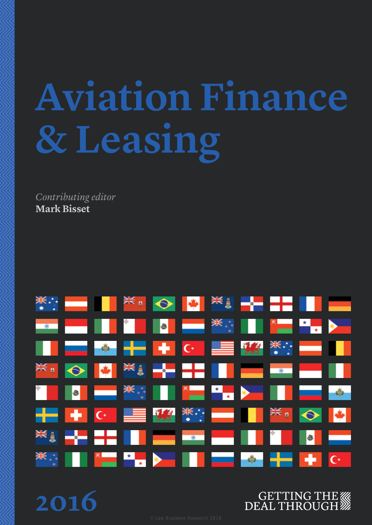# **Aviation Finance & Leasing**

*Contributing editor* **Mark Bisset**



**2016**

## **GETTING THE W DEAL THROUGH**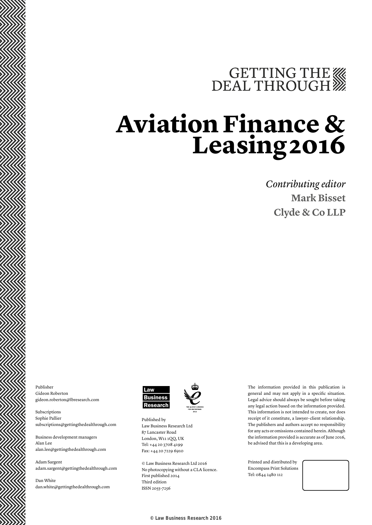GETTING THE WE DEAL THROUGH

## **Aviation Finance & Leasing2016**

*Contributing editor* **Mark Bisset Clyde & Co LLP**

Publisher Gideon Roberton gideon.roberton@lbresearch.com

Subscriptions Sophie Pallier subscriptions@gettingthedealthrough.com

Business development managers Alan Lee alan.lee@gettingthedealthrough.com

Adam Sargent adam.sargent@gettingthedealthrough.com

Dan White dan.white@gettingthedealthrough.com



Published by Law Business Research Ltd 87 Lancaster Road London, W11 1QQ, UK Tel: +44 20 3708 4199 Fax: +44 20 7229 6910

© Law Business Research Ltd 2016 No photocopying without a CLA licence. First published 2014 Third edition ISSN 2055-7256

The information provided in this publication is general and may not apply in a specific situation. Legal advice should always be sought before taking any legal action based on the information provided. This information is not intended to create, nor does receipt of it constitute, a lawyer–client relationship. The publishers and authors accept no responsibility for any acts or omissions contained herein. Although the information provided is accurate as of June 2016, be advised that this is a developing area.

Printed and distributed by Encompass Print Solutions Tel: 0844 2480 112



© Law Business Research 2016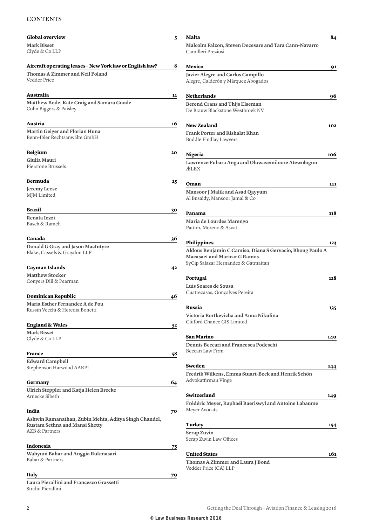## **CONTENTS**

| <b>Global overview</b>                                               | 5  | Malta                                                                                                                                   | 84         |
|----------------------------------------------------------------------|----|-----------------------------------------------------------------------------------------------------------------------------------------|------------|
| Mark Bisset                                                          |    | Malcolm Falzon, Steven Decesare and Tara Cann-Navarro                                                                                   |            |
| Clyde & Co LLP                                                       |    | Camilleri Preziosi                                                                                                                      |            |
| Aircraft operating leases - New York law or English law?             | 8  | Mexico                                                                                                                                  | 91         |
| Thomas A Zimmer and Neil Poland                                      |    |                                                                                                                                         |            |
| Vedder Price                                                         |    | Javier Alegre and Carlos Campillo<br>Alegre, Calderón y Márquez Abogados                                                                |            |
| Australia                                                            | 11 | <b>Netherlands</b>                                                                                                                      | 96         |
| Matthew Bode, Kate Craig and Samara Goode<br>Colin Biggers & Paisley |    | <b>Berend Crans and Thijs Elseman</b>                                                                                                   |            |
|                                                                      |    | De Brauw Blackstone Westbroek NV                                                                                                        |            |
| Austria                                                              | 16 | New Zealand                                                                                                                             | 102        |
| Martin Geiger and Florian Huna                                       |    | <b>Frank Porter and Rishalat Khan</b>                                                                                                   |            |
| Benn-Ibler Rechtsanwälte GmbH                                        |    | <b>Buddle Findlay Lawyers</b>                                                                                                           |            |
| Belgium                                                              | 20 | <b>Nigeria</b>                                                                                                                          | 106        |
| Giulia Mauri                                                         |    | Lawrence Fubara Anga and Oluwasemiloore Atewologun                                                                                      |            |
| Pierstone Brussels                                                   |    | <b>ÆLEX</b>                                                                                                                             |            |
| Bermuda                                                              | 25 | Oman                                                                                                                                    | 111        |
| Jeremy Leese                                                         |    | Mansoor J Malik and Asad Qayyum                                                                                                         |            |
| MJM Limited                                                          |    | Al Busaidy, Mansoor Jamal & Co                                                                                                          |            |
| Brazil                                                               | 30 | Panama                                                                                                                                  | 118        |
| Renata Iezzi                                                         |    | Maria de Lourdes Marengo                                                                                                                |            |
| Basch & Rameh                                                        |    | Patton, Moreno & Asvat                                                                                                                  |            |
| Canada                                                               | 36 |                                                                                                                                         |            |
| Donald G Gray and Jason MacIntyre                                    |    | Philippines                                                                                                                             | 123        |
| Blake, Cassels & Graydon LLP                                         |    | Aldous Benjamin C Camiso, Diana S Gervacio, Bhong Paulo A<br><b>Macasaet and Maricar G Ramos</b><br>SyCip Salazar Hernandez & Gatmaitan |            |
| Cayman Islands                                                       | 42 |                                                                                                                                         |            |
| <b>Matthew Stocker</b>                                               |    |                                                                                                                                         | 128        |
| Conyers Dill & Pearman                                               |    | Portugal                                                                                                                                |            |
|                                                                      |    | Luís Soares de Sousa<br>Cuatrecasas, Gonçalves Pereira                                                                                  |            |
| Dominican Republic                                                   | 46 |                                                                                                                                         |            |
| Maria Esther Fernandez A de Pou                                      |    | Russia                                                                                                                                  |            |
| Russin Vecchi & Heredia Bonetti                                      |    | Victoria Bortkevicha and Anna Nikulina                                                                                                  | 135        |
|                                                                      |    | Clifford Chance CIS Limited                                                                                                             |            |
| <b>England &amp; Wales</b>                                           | 52 |                                                                                                                                         |            |
| <b>Mark Bisset</b>                                                   |    | <b>San Marino</b>                                                                                                                       | 140        |
| Clyde & Co LLP                                                       |    | Dennis Beccari and Francesca Podeschi                                                                                                   |            |
|                                                                      |    | Beccari Law Firm                                                                                                                        |            |
| France                                                               | 58 |                                                                                                                                         |            |
| <b>Edward Campbell</b><br>Stephenson Harwood AARPI                   |    | Sweden                                                                                                                                  | 144        |
|                                                                      |    | Fredrik Wilkens, Emma Stuart-Beck and Henrik Schön                                                                                      |            |
| Germany                                                              | 64 | Advokatfirman Vinge                                                                                                                     |            |
| Ulrich Steppler and Katja Helen Brecke                               |    |                                                                                                                                         |            |
| Arnecke Sibeth                                                       |    | Switzerland                                                                                                                             | 149        |
|                                                                      |    | Frédéric Meyer, Raphaël Baeriswyl and Antoine Labaume                                                                                   |            |
| India                                                                | 70 | Meyer Avocats                                                                                                                           |            |
| Ashwin Ramanathan, Zubin Mehta, Aditya Singh Chandel,                |    |                                                                                                                                         |            |
| Rustam Sethna and Mansi Shetty                                       |    | Turkey                                                                                                                                  | 154        |
| <b>AZB &amp; Partners</b>                                            |    | Serap Zuvin                                                                                                                             |            |
|                                                                      |    | Serap Zuvin Law Offices                                                                                                                 |            |
| Indonesia                                                            | 75 |                                                                                                                                         |            |
| Wahyuni Bahar and Anggia Rukmasari                                   |    | <b>United States</b>                                                                                                                    | <b>161</b> |
| Bahar & Partners                                                     |    | Thomas A Zimmer and Laura J Bond                                                                                                        |            |
|                                                                      |    | Vedder Price (CA) LLP                                                                                                                   |            |
| Italy                                                                | 79 |                                                                                                                                         |            |
| Laura Pierallini and Francesco Grassetti<br>Studio Pierallini        |    |                                                                                                                                         |            |
|                                                                      |    |                                                                                                                                         |            |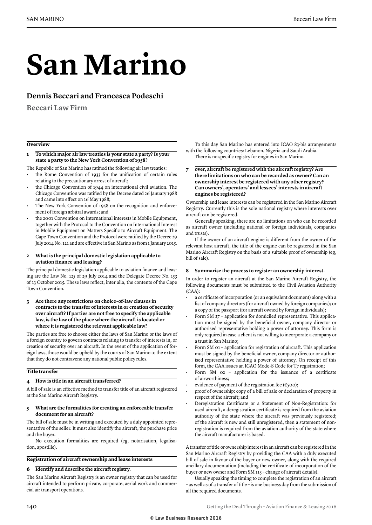## **San Marino**

### **Dennis Beccari and Francesca Podeschi**

**Beccari Law Firm**

#### **Overview**

#### **1 To which major air law treaties is your state a party? Is your state a party to the New York Convention of 1958?**

The Republic of San Marino has ratified the following air law treaties:

- the Rome Convention of 1933 for the unification of certain rules relating to the precautionary arrest of aircraft;
- the Chicago Convention of 1944 on international civil aviation. The Chicago Convention was ratified by the Decree dated 26 January 1988 and came into effect on 16 May 1988;
- The New York Convention of 1958 on the recognition and enforcement of foreign arbitral awards; and
- the 2001 Convention on International interests in Mobile Equipment, together with the Protocol to the Convention on International Interest in Mobile Equipment on Matters Specific to Aircraft Equipment. The Cape Town Convention and the Protocol were ratified by the Decree 29 July 2014 No. 121 and are effective in San Marino as from 1 January 2015.
- **2 What is the principal domestic legislation applicable to aviation finance and leasing?**

The principal domestic legislation applicable to aviation finance and leasing are the Law No. 125 of 29 July 2014 and the Delegate Decree No. 153 of 13 October 2015. These laws reflect, inter alia, the contents of the Cape Town Convention.

**3 Are there any restrictions on choice-of-law clauses in contracts to the transfer of interests in or creation of security over aircraft? If parties are not free to specify the applicable law, is the law of the place where the aircraft is located or where it is registered the relevant applicable law?**

The parties are free to choose either the laws of San Marino or the laws of a foreign country to govern contracts relating to transfer of interests in, or creation of security over an aircraft. In the event of the application of foreign laws, those would be upheld by the courts of San Marino to the extent that they do not contravene any national public policy rules.

#### **Title transfer**

#### **4 How is title in an aircraft transferred?**

A bill of sale is an effective method to transfer title of an aircraft registered at the San Marino Aircraft Registry.

#### **5 What are the formalities for creating an enforceable transfer document for an aircraft?**

The bill of sale must be in writing and executed by a duly appointed representative of the seller. It must also identify the aircraft, the purchase price and the buyer.

No execution formalities are required (eg, notarisation, legalisation, apostille).

#### **Registration of aircraft ownership and lease interests**

#### **6 Identify and describe the aircraft registry.**

The San Marino Aircraft Registry is an owner registry that can be used for aircraft intended to perform private, corporate, aerial work and commercial air transport operations.

To this day San Marino has entered into ICAO 83-bis arrangements with the following countries: Lebanon, Nigeria and Saudi Arabia. There is no specific registry for engines in San Marino.

#### **7 over, aircraft be registered with the aircraft registry? Are there limitations on who can be recorded as owner? Can an ownership interest be registered with any other registry? Can owners', operators' and lessees' interests in aircraft engines be registered?**

Ownership and lease interests can be registered in the San Marino Aircraft Registry. Currently this is the sole national registry where interests over aircraft can be registered.

Generally speaking, there are no limitations on who can be recorded as aircraft owner (including national or foreign individuals, companies and trusts).

If the owner of an aircraft engine is different from the owner of the relevant host aircraft, the title of the engine can be registered in the San Marino Aircraft Registry on the basis of a suitable proof of ownership (eg, bill of sale).

#### **8 Summarise the process to register an ownership interest.**

In order to register an aircraft at the San Marino Aircraft Registry, the following documents must be submitted to the Civil Aviation Authority (CAA):

- a certificate of incorporation (or an equivalent document) along with a list of company directors (for aircraft owned by foreign companies); or a copy of the passport (for aircraft owned by foreign individuals);
- Form SM 27 application for domiciled representative. This application must be signed by the beneficial owner, company director or authorised representative holding a power of attorney. This form is only required in case a client is not willing to incorporate a company or a trust in San Marino;
- Form SM 01 application for registration of aircraft. This application must be signed by the beneficial owner, company director or authorised representative holding a power of attorney. On receipt of this form, the CAA issues an ICAO Mode-S Code for T7 registration;
- Form SM 02 application for the issuance of a certificate of airworthiness;
- evidence of payment of the registration fee ( $\varepsilon$ 500);
- proof of ownership: copy of a bill of sale or declaration of property in respect of the aircraft; and
- Deregistration Certificate or a Statement of Non-Registration: for used aircraft, a deregistration certificate is required from the aviation authority of the state where the aircraft was previously registered; of the aircraft is new and still unregistered, then a statement of nonregistration is required from the aviation authority of the state where the aircraft manufacturer is based.

A transfer of title or ownership interest in an aircraft can be registered in the San Marino Aircraft Registry by providing the CAA with a duly executed bill of sale in favour of the buyer or new owner, along with the required ancillary documentation (including the certificate of incorporation of the buyer or new owner and Form SM 113 – change of aircraft details).

Usually speaking the timing to complete the registration of an aircraft – as well as of a transfer of title – is one business day from the submission of all the required documents.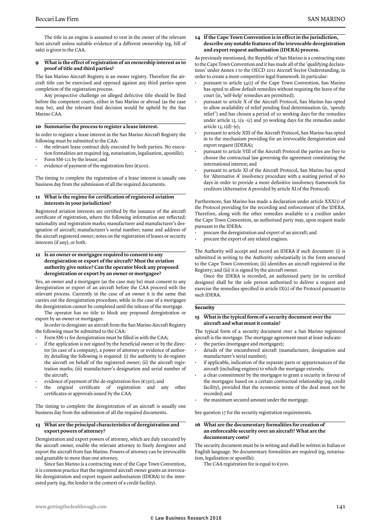The title in an engine is assumed to vest in the owner of the relevant host aircraft unless suitable evidence of a different ownership (eg, bill of sale) is given to the CAA.

#### **9 What is the effect of registration of an ownership interest as to proof of title and third parties?**

The San Marino Aircraft Registry is an owner registry. Therefore the aircraft title can be exercised and opposed against any third parties upon completion of the registration process.

Any prospective challenge on alleged defective title should be filed before the competent courts, either in San Marino or abroad (as the case may be), and the relevant final decision would be upheld by the San Marino CAA.

#### **10 Summarise the process to register a lease interest.**

In order to register a lease interest in the San Marino Aircraft Registry the following must be submitted to the CAA:

- the relevant lease contract duly executed by both parties. No execution formalities are required (eg, notarisation, legalisation, apostille);
- Form SM-121 by the lessor; and
- evidence of payment of the registration fees (€500).

The timing to complete the registration of a lease interest is usually one business day from the submission of all the required documents.

#### **11 What is the regime for certification of registered aviation interests in your jurisdiction?**

Registered aviation interests are certified by the issuance of the aircraft certificate of registration, where the following information are reflected: nationality and registration marks; manufacturer and manufacturer's designation of aircraft; manufacturer's serial number; name and address of the aircraft registered owner; notes on the registration of leases or security interests (if any), or both.

**12 Is an owner or mortgagee required to consent to any deregistration or export of the aircraft? Must the aviation authority give notice? Can the operator block any proposed deregistration or export by an owner or mortgagee?**

Yes, an owner and a mortgagee (as the case may be) must consent to any deregistration or export of an aircraft before the CAA proceed with the relevant process. Currently in the case of an owner it is the same that carries out the deregistration procedure, while in the case of a mortgagee the deregistration cannot be completed until the release of the mortgage.

The operator has no title to block any proposed deregistration or export by an owner or mortgagee.

In order to deregister an aircraft from the San Marino Aircraft Registry the following must be submitted to the CAA:

- Form SM-11 for deregistration must be filled in with the CAA;
- if the application is not signed by the beneficial owner or by the director (in case of a company), a power of attorney or evidence of authority detailing the following is required: (i) the authority to de-register the aircraft on behalf of the registered owner; (ii) the aircraft registration marks; (iii) manufacturer's designation and serial number of the aircraft;
- evidence of payment of the de-registration fees ( $\varepsilon$ 250); and
- the original certificate of registration and any other certificates or approvals issued by the CAA.

The timing to complete the deregistration of an aircraft is usually one business day from the submission of all the required documents.

#### **13 What are the principal characteristics of deregistration and export powers of attorney?**

Deregistration and export powers of attorney, which are duly executed by the aircraft owner, enable the relevant attorney to freely deregister and export the aircraft from San Marino. Powers of attorney can be irrevocable and grantable to more than one attorney.

Since San Marino is a contracting state of the Cape Town Convention, it is common practice that the registered aircraft owner grants an irrevocable deregistration and export request authorisation (IDERA) to the interested party (eg, the lender in the context of a credit facility).

#### **14 If the Cape Town Convention is in effect in the jurisdiction, describe any notable features of the irrevocable deregistration and export request authorisation (IDERA) process.**

As previously mentioned, the Republic of San Marino is a contracting state to the Cape Town Convention and it has made all of the 'qualifying declarations' under Annex 1 to the OECD 2011 Aircraft Sector Understanding, in order to create a more competitive legal framework. In particular:

- pursuant to article 54(2) of the Cape Town Convention, San Marino has opted to allow default remedies without requiring the leave of the court (ie, 'self-help' remedies are permitted);
- pursuant to article X of the Aircraft Protocol, San Marino has opted to allow availability of relief pending final determination (ie, 'speedy relief ') and has chosen a period of 10 working days for the remedies under article 13, 1(a -(c) and 30 working days for the remedies under article 13, 1(d)–(e);
- pursuant to article XIII of the Aircraft Protocol, San Marino has opted in to the mechanism providing for an irrevocable deregistration and export request (IDERA);
- pursuant to article VIII of the Aircraft Protocol the parties are free to choose the contractual law governing the agreement constituting the international interest; and
- pursuant to article XI of the Aircraft Protocol, San Marino has opted for 'Alternative A' insolvency procedure with a waiting period of 60 days in order to provide a more definitive insolvency framework for creditors (Alternative A provided by article XI of the Protocol).

Furthermore, San Marino has made a declaration under article XXX(1) of the Protocol providing for the recording and enforcement of the IDERA. Therefore, along with the other remedies available to a creditor under the Cape Town Convention, an authorised party may, upon request made pursuant to the IDERA:

- procure the deregistration and export of an aircraft; and
- procure the export of any related engines.

The Authority will accept and record an IDERA if such document: (i) is submitted in writing to the Authority substantially in the form annexed to the Cape Town Convention; (ii) identifies an aircraft registered in the Registry; and (iii) it is signed by the aircraft owner.

Once the IDERA is recorded, an authorised party (or its certified designee) shall be the sole person authorised to deliver a request and exercise the remedies specified in article IX(1) of the Protocol pursuant to such IDERA.

#### **Security**

#### **15 What is the typical form of a security document over the aircraft and what must it contain?**

The typical form of a security document over a San Marino registered aircraft is the mortgage. The mortgage agreement must at least indicate:

- the parties (mortgagor and mortgagee);
- details of the encumbered aircraft (manufacturer, designation and manufacturer's serial number);
- if applicable, indication of the separate parts or appurtenances of the aircraft (including engines) to which the mortgage extends;
- a clear commitment by the mortgagor to grant a security in favour of the mortgagee based on a certain contractual relationship (eg, credit facility), provided that the economic terms of the deal must not be recorded; and
- the maximum secured amount under the mortgage.

See question 17 for the security registration requirements.

#### **16 What are the documentary formalities for creation of an enforceable security over an aircraft? What are the documentary costs?**

The security document must be in writing and shall be written in Italian or English language. No documentary formalities are required (eg, notarisation, legalisation or apostille).

The CAA registration fee is equal to  $\epsilon$ 500.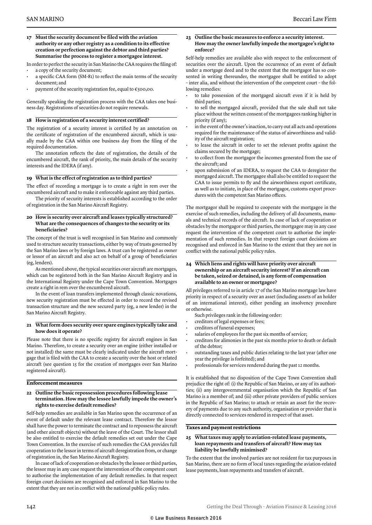#### **17 Must the security document be filed with the aviation authority or any other registry as a condition to its effective creation or perfection against the debtor and third parties? Summarise the process to register a mortgagee interest.**

In order to perfect the security in San Marino the CAA requires the filing of: a copy of the security document;

- a specific CAA form (SM-81) to reflect the main terms of the security document; and
- payment of the security registration fee, equal to  $\varepsilon$ 500,00.

Generally speaking the registration process with the CAA takes one business day. Registrations of securities do not require renewals.

#### **18 How is registration of a security interest certified?**

The registration of a security interest is certified by an annotation on the certificate of registration of the encumbered aircraft, which is usually made by the CAA within one business day from the filing of the required documentation.

The annotation reflects the date of registration, the details of the encumbered aircraft, the rank of priority, the main details of the security interests and the IDERA (if any).

#### **19 What is the effect of registration as to third parties?**

The effect of recording a mortgage is to create a right in rem over the encumbered aircraft and to make it enforceable against any third parties.

The priority of security interests is established according to the order of registration in the San Marino Aircraft Registry.

#### **20 How is security over aircraft and leases typically structured? What are the consequences of changes to the security or its beneficiaries?**

The concept of the trust is well recognised in San Marino and commonly used to structure security transactions, either by way of trusts governed by the San Marino laws or by foreign laws. A trust can be registered as owner or lessor of an aircraft and also act on behalf of a group of beneficiaries (eg, lenders).

As mentioned above, the typical securities over aircraft are mortgages, which can be registered both in the San Marino Aircraft Registry and in the International Registry under the Cape Town Convention. Mortgages create a right in rem over the encumbered aircraft.

In the event of loan transfers implemented through classic novations, new security registration must be effected in order to record the revised transaction structure and the new secured party (eg, a new lender) in the San Marino Aircraft Registry.

#### **21 What form does security over spare engines typically take and how does it operate?**

Please note that there is no specific registry for aircraft engines in San Marino. Therefore, to create a security over an engine (either installed or not installed) the same must be clearly indicated under the aircraft mortgage that is filed with the CAA to create a security over the host or related aircraft (see question 15 for the creation of mortgages over San Marino registered aircraft).

#### **Enforcement measures**

#### **22 Outline the basic repossession procedures following lease termination. How may the lessee lawfully impede the owner's rights to exercise default remedies?**

Self-help remedies are available in San Marino upon the occurrence of an event of default under the relevant lease contract. Therefore the lessor shall have the power to terminate the contract and to repossess the aircraft (and other aircraft objects) without the leave of the Court. The lessor shall be also entitled to exercise the default remedies set out under the Cape Town Convention. In the exercise of such remedies the CAA provides full cooperation to the lessor in terms of aircraft deregistration from, or change of registration in, the San Marino Aircraft Registry.

In case of lack of cooperation or obstacles by the lessee or third parties, the lessor may in any case request the intervention of the competent court to authorise the implementation of any default remedies. In that respect foreign court decisions are recognised and enforced in San Marino to the extent that they are not in conflict with the national public policy rules.

#### **23 Outline the basic measures to enforce a security interest. How may the owner lawfully impede the mortgagee's right to enforce?**

Self-help remedies are available also with respect to the enforcement of securities over the aircraft. Upon the occurrence of an event of default under a mortgage deed and to the extent that the mortgagor has so consented in writing thereunder, the mortgagee shall be entitled to adopt – inter alia, and without the intervention of the competent court – the following remedies:

- to take possession of the mortgaged aircraft even if it is held by third parties;
- to sell the mortgaged aircraft, provided that the sale shall not take place without the written consent of the mortgagees ranking higher in priority (if any);
- in the event of the owner's inaction, to carry out all acts and operations required for the maintenance of the status of airworthiness and validity of the aircraft registration;
- to lease the aircraft in order to set the relevant profits against the claims secured by the mortgage;
- to collect from the mortgagor the incomes generated from the use of the aircraft; and
- upon submission of an IDERA, to request the CAA to deregister the mortgaged aircraft. The mortgagee shall also be entitled to request the CAA to issue permits to fly and the airworthiness export certificate, as well as to initiate, in place of the mortgagor, customs export procedures with the competent San Marino offices.

The mortgagor shall be required to cooperate with the mortgagee in the exercise of such remedies, including the delivery of all documents, manuals and technical records of the aircraft. In case of lack of cooperation or obstacles by the mortgagor or third parties, the mortgagee may in any case request the intervention of the competent court to authorise the implementation of such remedies. In that respect foreign court decisions are recognised and enforced in San Marino to the extent that they are not in conflict with the national public policy rules.

#### **24 Which liens and rights will have priority over aircraft ownership or an aircraft security interest? If an aircraft can be taken, seized or detained, is any form of compensation available to an owner or mortgagee?**

All privileges referred to in article 17 of the San Marino mortgage law have priority in respect of a security over an asset (including assets of an holder of an international interest), either pending an insolvency procedure or otherwise.

- Such privileges rank in the following order:
- creditors of legal expenses or fees;
- creditors of funeral expenses;
- salaries of employees for the past six months of service;
- creditors for alimonies in the past six months prior to death or default of the debtor;
- outstanding taxes and public duties relating to the last year (after one year the privilege is forfeited); and
- professionals for services rendered during the past 12 months.

It is established that no disposition of the Cape Town Convention shall prejudice the right of: (i) the Republic of San Marino, or any of its authorities; (ii) any intergovernmental organisation which the Republic of San Marino is a member of; and (iii) other private providers of public services in the Republic of San Marino; to attach or retain an asset for the recovery of payments due to any such authority, organisation or provider that is directly connected to services rendered in respect of that asset.

#### **Taxes and payment restrictions**

#### **25 What taxes may apply to aviation-related lease payments, loan repayments and transfers of aircraft? How may tax liability be lawfully minimised?**

To the extent that the involved parties are not resident for tax purposes in San Marino, there are no form of local taxes regarding the aviation-related lease payments, loan repayments and transfers of aircraft.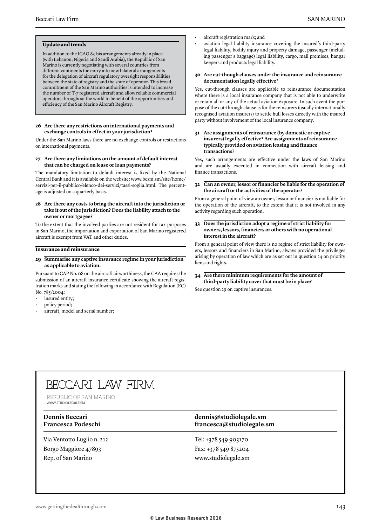#### **Update and trends**

In addition to the ICAO 83-bis arrangements already in place (with Lebanon, Nigeria and Saudi Arabia), the Republic of San Marino is currently negotiating with several countries from different continents the entry into new bilateral arrangements for the delegation of aircraft regulatory oversight responsibilities between the state of registry and the state of operator. This broad commitment of the San Marino authorities is intended to increase the number of T-7 registered aircraft and allow reliable commercial operators throughout the world to benefit of the opportunities and efficiency of the San Marino Aircraft Registry.

#### **26 Are there any restrictions on international payments and exchange controls in effect in your jurisdiction?**

Under the San Marino laws there are no exchange controls or restrictions on international payments.

#### **27 Are there any limitations on the amount of default interest that can be charged on lease or loan payments?**

The mandatory limitation to default interest is fixed by the National Central Bank and it is available on the website: www.bcsm.sm/site/home/ servizi-per-il-pubblico/elenco-dei-servizi/tassi-soglia.html. The percentage is adjusted on a quarterly basis.

#### **28 Are there any costs to bring the aircraft into the jurisdiction or take it out of the jurisdiction? Does the liability attach to the owner or mortgagee?**

To the extent that the involved parties are not resident for tax purposes in San Marino, the importation and exportation of San Marino registered aircraft is exempt from VAT and other duties.

#### **Insurance and reinsurance**

**29 Summarise any captive insurance regime in your jurisdiction as applicable to aviation.**

Pursuant to CAP No. 08 on the aircraft airworthiness, the CAA requires the submission of an aircraft insurance certificate showing the aircraft registration marks and stating the following in accordance with Regulation (EC) No. 785/2004:

- insured entity;
- policy period;
- aircraft, model and serial number;
- aircraft registration mark; and
- aviation legal liability insurance covering the insured's third-party legal liability, bodily injury and property damage, passenger (including passenger's baggage) legal liability, cargo, mail premises, hangar keepers and products legal liability.

#### **30 Are cut-though clauses under the insurance and reinsurance documentation legally effective?**

Yes, cut-through clauses are applicable to reinsurance documentation where there is a local insurance company that is not able to underwrite or retain all or any of the actual aviation exposure. In such event the purpose of the cut-through clause is for the reinsurers (usually internationally recognised aviation insurers) to settle hull losses directly with the insured party without involvement of the local insurance company.

#### **31 Are assignments of reinsurance (by domestic or captive insurers) legally effective? Are assignments of reinsurance typically provided on aviation leasing and finance transactions?**

Yes, such arrangements are effective under the laws of San Marino and are usually executed in connection with aircraft leasing and finance transactions.

#### **32 Can an owner, lessor or financier be liable for the operation of the aircraft or the activities of the operator?**

From a general point of view an owner, lessor or financier is not liable for the operation of the aircraft, to the extent that it is not involved in any activity regarding such operation.

#### **33 Does the jurisdiction adopt a regime of strict liability for owners, lessors, financiers or others with no operational interest in the aircraft?**

From a general point of view there is no regime of strict liability for owners, lessors and financiers in San Marino, always provided the privileges arising by operation of law which are as set out in question 24 on priority liens and rights.

#### **34 Are there minimum requirements for the amount of third-party liability cover that must be in place?**

See question 29 on captive insurances.

## **BECCARI LAW FIRM**

REPUBLIC OF SAN MARINO WWW.STUDIOLEGALE.SM

Via Ventotto Luglio n. 212 Borgo Maggiore 47893 Rep. of San Marino

#### **Dennis Beccari dennis@studiolegale.sm Francesca Podeschi francesca@studiolegale.sm**

Tel: +378 549 903170 Fax: +378 549 875204 www.studiolegale.sm